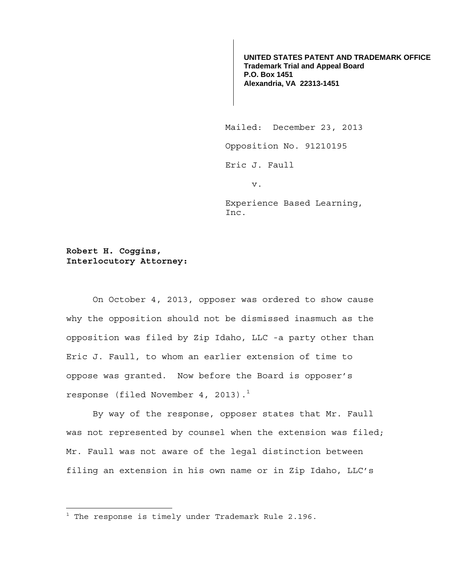**UNITED STATES PATENT AND TRADEMARK OFFICE Trademark Trial and Appeal Board P.O. Box 1451 Alexandria, VA 22313-1451**

 Mailed: December 23, 2013 Opposition No. 91210195 Eric J. Faull v.

> Experience Based Learning, Inc.

## **Robert H. Coggins, Interlocutory Attorney:**

On October 4, 2013, opposer was ordered to show cause why the opposition should not be dismissed inasmuch as the opposition was filed by Zip Idaho, LLC -a party other than Eric J. Faull, to whom an earlier extension of time to oppose was granted. Now before the Board is opposer's response (filed November 4, 2013). $<sup>1</sup>$ </sup>

By way of the response, opposer states that Mr. Faull was not represented by counsel when the extension was filed; Mr. Faull was not aware of the legal distinction between filing an extension in his own name or in Zip Idaho, LLC's

 $^{\rm 1}$  The response is timely under Trademark Rule 2.196.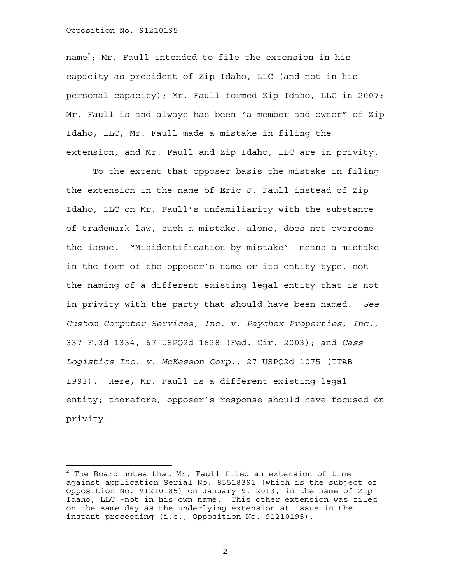## Opposition No. 91210195

name $^2$ ; Mr. Faull intended to file the extension in his capacity as president of Zip Idaho, LLC (and not in his personal capacity); Mr. Faull formed Zip Idaho, LLC in 2007; Mr. Faull is and always has been "a member and owner" of Zip Idaho, LLC; Mr. Faull made a mistake in filing the extension; and Mr. Faull and Zip Idaho, LLC are in privity.

To the extent that opposer basis the mistake in filing the extension in the name of Eric J. Faull instead of Zip Idaho, LLC on Mr. Faull's unfamiliarity with the substance of trademark law, such a mistake, alone, does not overcome the issue. "Misidentification by mistake" means a mistake in the form of the opposer's name or its entity type, not the naming of a different existing legal entity that is not in privity with the party that should have been named. *See Custom Computer Services, Inc. v. Paychex Properties, Inc.*, 337 F.3d 1334, 67 USPQ2d 1638 (Fed. Cir. 2003); and *Cass Logistics Inc. v. McKesson Corp.*, 27 USPQ2d 1075 (TTAB 1993). Here, Mr. Faull is a different existing legal entity; therefore, opposer's response should have focused on privity.

2

 $^2$  The Board notes that Mr. Faull filed an extension of time against application Serial No. 85518391 (which is the subject of Opposition No. 91210185) on January 9, 2013, in the name of Zip Idaho, LLC -not in his own name. This other extension was filed on the same day as the underlying extension at issue in the instant proceeding (i.e., Opposition No. 91210195).